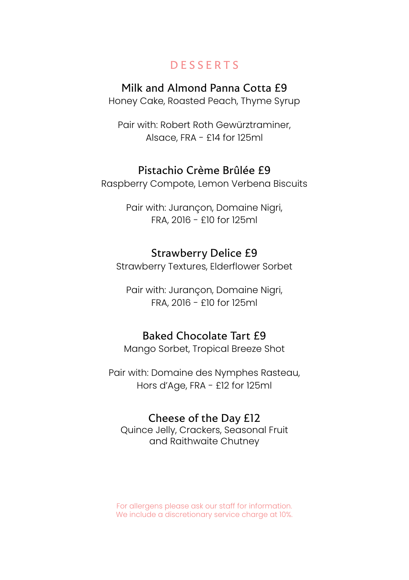# DESSERTS

## Milk and Almond Panna Cotta £9

Honey Cake, Roasted Peach, Thyme Syrup

Pair with: Robert Roth Gewürztraminer, Alsace, FRA - £14 for 125ml

#### Pistachio Crème Brûlée £9

Raspberry Compote, Lemon Verbena Biscuits

Pair with: Jurançon, Domaine Nigri, FRA, 2016 - £10 for 125ml

## Strawberry Delice £9

Strawberry Textures, Elderflower Sorbet

Pair with: Jurançon, Domaine Nigri, FRA, 2016 - £10 for 125ml

# Baked Chocolate Tart £9

Mango Sorbet, Tropical Breeze Shot

Pair with: Domaine des Nymphes Rasteau, Hors d'Age, FRA - £12 for 125ml

## Cheese of the Day £12

Quince Jelly, Crackers, Seasonal Fruit and Raithwaite Chutney

For allergens please ask our staff for information. We include a discretionary service charge at 10%.